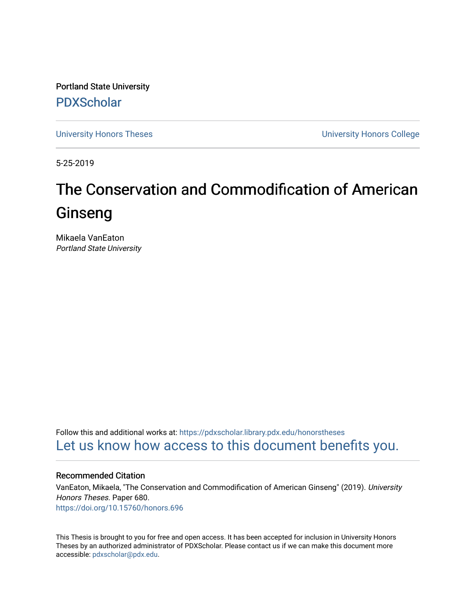Portland State University [PDXScholar](https://pdxscholar.library.pdx.edu/)

[University Honors Theses](https://pdxscholar.library.pdx.edu/honorstheses) [University Honors College](https://pdxscholar.library.pdx.edu/honors) 

5-25-2019

# The Conservation and Commodification of American Ginseng

Mikaela VanEaton Portland State University

Follow this and additional works at: [https://pdxscholar.library.pdx.edu/honorstheses](https://pdxscholar.library.pdx.edu/honorstheses?utm_source=pdxscholar.library.pdx.edu%2Fhonorstheses%2F680&utm_medium=PDF&utm_campaign=PDFCoverPages)  [Let us know how access to this document benefits you.](http://library.pdx.edu/services/pdxscholar-services/pdxscholar-feedback/) 

#### Recommended Citation

VanEaton, Mikaela, "The Conservation and Commodification of American Ginseng" (2019). University Honors Theses. Paper 680. <https://doi.org/10.15760/honors.696>

This Thesis is brought to you for free and open access. It has been accepted for inclusion in University Honors Theses by an authorized administrator of PDXScholar. Please contact us if we can make this document more accessible: [pdxscholar@pdx.edu.](mailto:pdxscholar@pdx.edu)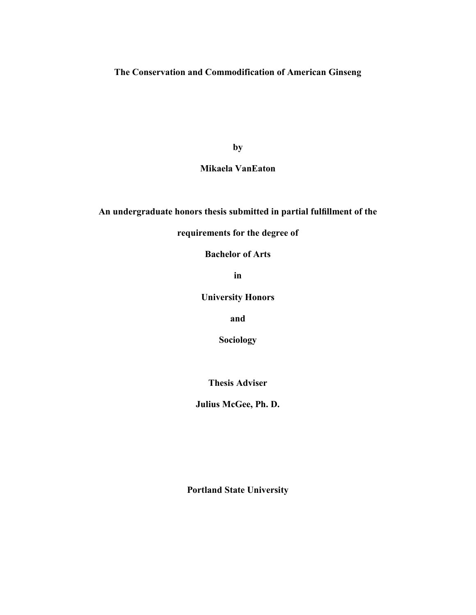**The Conservation and Commodification of American Ginseng**

**by**

#### **Mikaela VanEaton**

#### **An undergraduate honors thesis submitted in partial fulfillment of the**

#### **requirements for the degree of**

**Bachelor of Arts**

**in**

**University Honors**

**and**

**Sociology**

**Thesis Adviser**

**Julius McGee, Ph. D.**

**Portland State University**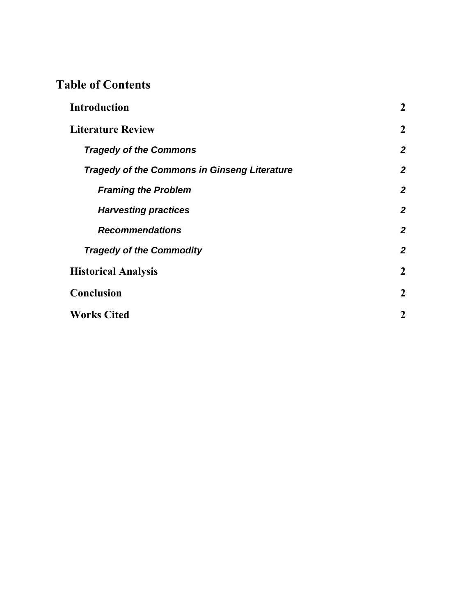# **Table of Contents**

| <b>Introduction</b>                                 | $\overline{2}$   |
|-----------------------------------------------------|------------------|
| <b>Literature Review</b>                            | $\overline{2}$   |
| <b>Tragedy of the Commons</b>                       | $\boldsymbol{2}$ |
| <b>Tragedy of the Commons in Ginseng Literature</b> | $\boldsymbol{2}$ |
| <b>Framing the Problem</b>                          | $\boldsymbol{2}$ |
| <b>Harvesting practices</b>                         | $\boldsymbol{2}$ |
| <b>Recommendations</b>                              | $\boldsymbol{2}$ |
| <b>Tragedy of the Commodity</b>                     | $\boldsymbol{2}$ |
| <b>Historical Analysis</b>                          | $\overline{2}$   |
| Conclusion                                          | $\overline{2}$   |
| <b>Works Cited</b>                                  | $\boldsymbol{2}$ |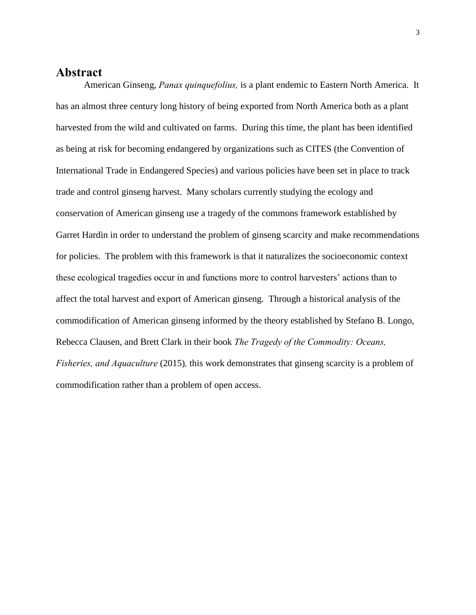#### **Abstract**

American Ginseng, *Panax quinquefolius,* is a plant endemic to Eastern North America. It has an almost three century long history of being exported from North America both as a plant harvested from the wild and cultivated on farms. During this time, the plant has been identified as being at risk for becoming endangered by organizations such as CITES (the Convention of International Trade in Endangered Species) and various policies have been set in place to track trade and control ginseng harvest. Many scholars currently studying the ecology and conservation of American ginseng use a tragedy of the commons framework established by Garret Hardin in order to understand the problem of ginseng scarcity and make recommendations for policies. The problem with this framework is that it naturalizes the socioeconomic context these ecological tragedies occur in and functions more to control harvesters' actions than to affect the total harvest and export of American ginseng. Through a historical analysis of the commodification of American ginseng informed by the theory established by Stefano B. Longo, Rebecca Clausen, and Brett Clark in their book *The Tragedy of the Commodity: Oceans, Fisheries, and Aquaculture* (2015)*,* this work demonstrates that ginseng scarcity is a problem of commodification rather than a problem of open access.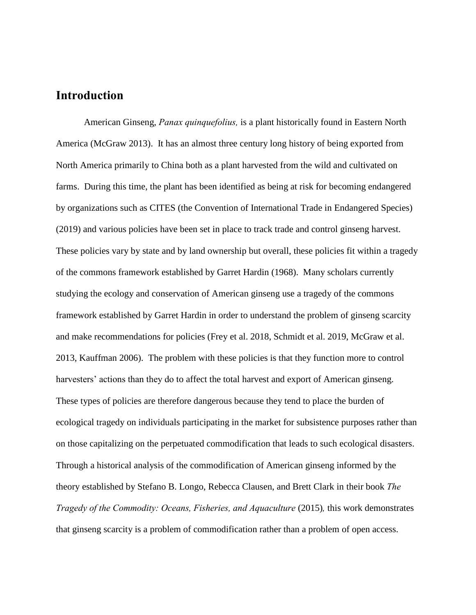# **Introduction**

American Ginseng, *Panax quinquefolius,* is a plant historically found in Eastern North America (McGraw 2013). It has an almost three century long history of being exported from North America primarily to China both as a plant harvested from the wild and cultivated on farms. During this time, the plant has been identified as being at risk for becoming endangered by organizations such as CITES (the Convention of International Trade in Endangered Species) (2019) and various policies have been set in place to track trade and control ginseng harvest. These policies vary by state and by land ownership but overall, these policies fit within a tragedy of the commons framework established by Garret Hardin (1968). Many scholars currently studying the ecology and conservation of American ginseng use a tragedy of the commons framework established by Garret Hardin in order to understand the problem of ginseng scarcity and make recommendations for policies (Frey et al. 2018, Schmidt et al. 2019, McGraw et al. 2013, Kauffman 2006). The problem with these policies is that they function more to control harvesters' actions than they do to affect the total harvest and export of American ginseng. These types of policies are therefore dangerous because they tend to place the burden of ecological tragedy on individuals participating in the market for subsistence purposes rather than on those capitalizing on the perpetuated commodification that leads to such ecological disasters. Through a historical analysis of the commodification of American ginseng informed by the theory established by Stefano B. Longo, Rebecca Clausen, and Brett Clark in their book *The Tragedy of the Commodity: Oceans, Fisheries, and Aquaculture (2015), this work demonstrates* that ginseng scarcity is a problem of commodification rather than a problem of open access.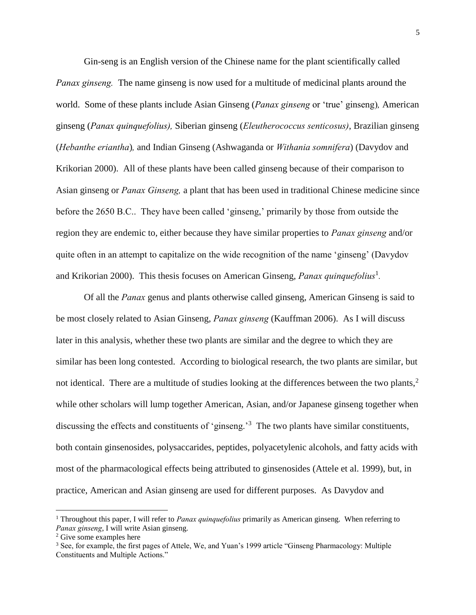Gin-seng is an English version of the Chinese name for the plant scientifically called *Panax ginseng.* The name ginseng is now used for a multitude of medicinal plants around the world. Some of these plants include Asian Ginseng (*Panax ginseng* or 'true' ginseng)*,* American ginseng (*Panax quinquefolius),* Siberian ginseng (*Eleutherococcus senticosus)*, Brazilian ginseng (*Hebanthe eriantha*)*,* and Indian Ginseng (Ashwaganda or *Withania somnifera*) (Davydov and Krikorian 2000). All of these plants have been called ginseng because of their comparison to Asian ginseng or *Panax Ginseng,* a plant that has been used in traditional Chinese medicine since before the 2650 B.C.. They have been called 'ginseng,' primarily by those from outside the region they are endemic to, either because they have similar properties to *Panax ginseng* and/or quite often in an attempt to capitalize on the wide recognition of the name 'ginseng' (Davydov and Krikorian 2000). This thesis focuses on American Ginseng, *Panax quinquefolius*<sup>1</sup>.

Of all the *Panax* genus and plants otherwise called ginseng, American Ginseng is said to be most closely related to Asian Ginseng, *Panax ginseng* (Kauffman 2006). As I will discuss later in this analysis, whether these two plants are similar and the degree to which they are similar has been long contested. According to biological research, the two plants are similar, but not identical. There are a multitude of studies looking at the differences between the two plants,<sup>2</sup> while other scholars will lump together American, Asian, and/or Japanese ginseng together when discussing the effects and constituents of 'ginseng.<sup>3</sup> The two plants have similar constituents, both contain ginsenosides, polysaccarides, peptides, polyacetylenic alcohols, and fatty acids with most of the pharmacological effects being attributed to ginsenosides (Attele et al. 1999), but, in practice, American and Asian ginseng are used for different purposes. As Davydov and

 $\overline{a}$ 

<sup>1</sup> Throughout this paper, I will refer to *Panax quinquefolius* primarily as American ginseng. When referring to *Panax ginseng*, I will write Asian ginseng.

<sup>2</sup> Give some examples here

<sup>&</sup>lt;sup>3</sup> See, for example, the first pages of Attele, We, and Yuan's 1999 article "Ginseng Pharmacology: Multiple Constituents and Multiple Actions."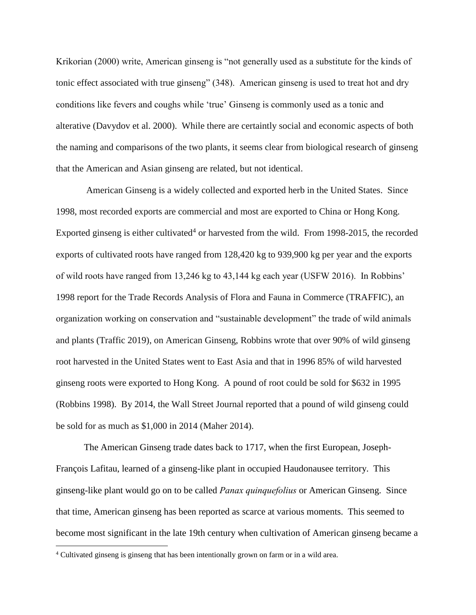Krikorian (2000) write, American ginseng is "not generally used as a substitute for the kinds of tonic effect associated with true ginseng" (348). American ginseng is used to treat hot and dry conditions like fevers and coughs while 'true' Ginseng is commonly used as a tonic and alterative (Davydov et al. 2000). While there are certaintly social and economic aspects of both the naming and comparisons of the two plants, it seems clear from biological research of ginseng that the American and Asian ginseng are related, but not identical.

American Ginseng is a widely collected and exported herb in the United States. Since 1998, most recorded exports are commercial and most are exported to China or Hong Kong. Exported ginseng is either cultivated<sup>4</sup> or harvested from the wild. From 1998-2015, the recorded exports of cultivated roots have ranged from 128,420 kg to 939,900 kg per year and the exports of wild roots have ranged from 13,246 kg to 43,144 kg each year (USFW 2016). In Robbins' 1998 report for the Trade Records Analysis of Flora and Fauna in Commerce (TRAFFIC), an organization working on conservation and "sustainable development" the trade of wild animals and plants (Traffic 2019), on American Ginseng, Robbins wrote that over 90% of wild ginseng root harvested in the United States went to East Asia and that in 1996 85% of wild harvested ginseng roots were exported to Hong Kong. A pound of root could be sold for \$632 in 1995 (Robbins 1998). By 2014, the Wall Street Journal reported that a pound of wild ginseng could be sold for as much as \$1,000 in 2014 (Maher 2014).

The American Ginseng trade dates back to 1717, when the first European, Joseph-François Lafitau, learned of a ginseng-like plant in occupied Haudonausee territory. This ginseng-like plant would go on to be called *Panax quinquefolius* or American Ginseng. Since that time, American ginseng has been reported as scarce at various moments. This seemed to become most significant in the late 19th century when cultivation of American ginseng became a

 $\overline{a}$ 

<sup>4</sup> Cultivated ginseng is ginseng that has been intentionally grown on farm or in a wild area.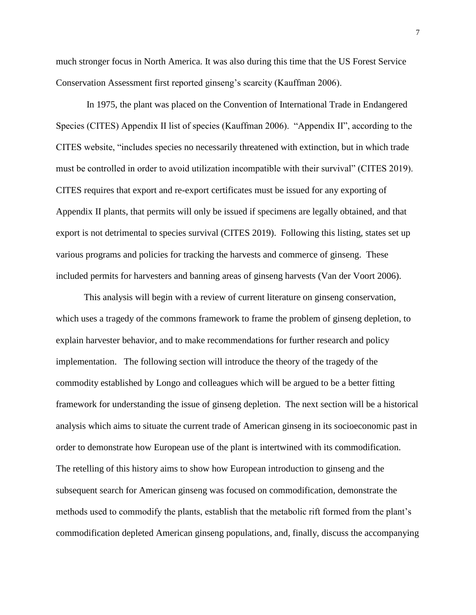much stronger focus in North America. It was also during this time that the US Forest Service Conservation Assessment first reported ginseng's scarcity (Kauffman 2006).

In 1975, the plant was placed on the Convention of International Trade in Endangered Species (CITES) Appendix II list of species (Kauffman 2006). "Appendix II", according to the CITES website, "includes species no necessarily threatened with extinction, but in which trade must be controlled in order to avoid utilization incompatible with their survival" (CITES 2019). CITES requires that export and re-export certificates must be issued for any exporting of Appendix II plants, that permits will only be issued if specimens are legally obtained, and that export is not detrimental to species survival (CITES 2019). Following this listing, states set up various programs and policies for tracking the harvests and commerce of ginseng. These included permits for harvesters and banning areas of ginseng harvests (Van der Voort 2006).

This analysis will begin with a review of current literature on ginseng conservation, which uses a tragedy of the commons framework to frame the problem of ginseng depletion, to explain harvester behavior, and to make recommendations for further research and policy implementation. The following section will introduce the theory of the tragedy of the commodity established by Longo and colleagues which will be argued to be a better fitting framework for understanding the issue of ginseng depletion. The next section will be a historical analysis which aims to situate the current trade of American ginseng in its socioeconomic past in order to demonstrate how European use of the plant is intertwined with its commodification. The retelling of this history aims to show how European introduction to ginseng and the subsequent search for American ginseng was focused on commodification, demonstrate the methods used to commodify the plants, establish that the metabolic rift formed from the plant's commodification depleted American ginseng populations, and, finally, discuss the accompanying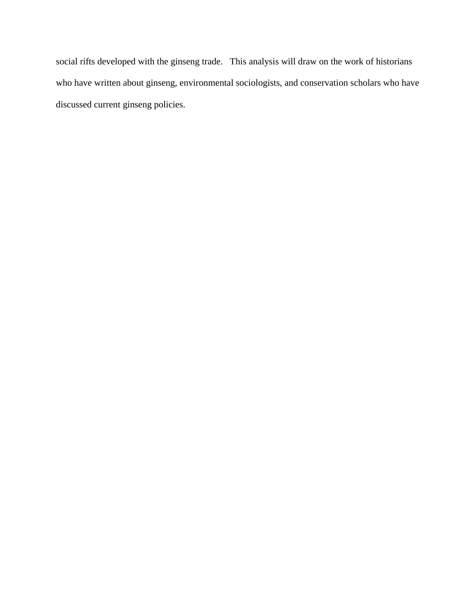social rifts developed with the ginseng trade. This analysis will draw on the work of historians who have written about ginseng, environmental sociologists, and conservation scholars who have discussed current ginseng policies.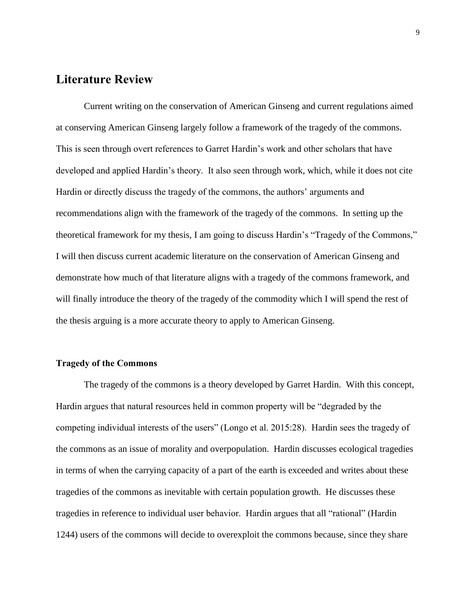## **Literature Review**

Current writing on the conservation of American Ginseng and current regulations aimed at conserving American Ginseng largely follow a framework of the tragedy of the commons. This is seen through overt references to Garret Hardin's work and other scholars that have developed and applied Hardin's theory. It also seen through work, which, while it does not cite Hardin or directly discuss the tragedy of the commons, the authors' arguments and recommendations align with the framework of the tragedy of the commons. In setting up the theoretical framework for my thesis, I am going to discuss Hardin's "Tragedy of the Commons," I will then discuss current academic literature on the conservation of American Ginseng and demonstrate how much of that literature aligns with a tragedy of the commons framework, and will finally introduce the theory of the tragedy of the commodity which I will spend the rest of the thesis arguing is a more accurate theory to apply to American Ginseng.

#### **Tragedy of the Commons**

The tragedy of the commons is a theory developed by Garret Hardin. With this concept, Hardin argues that natural resources held in common property will be "degraded by the competing individual interests of the users" (Longo et al. 2015:28). Hardin sees the tragedy of the commons as an issue of morality and overpopulation. Hardin discusses ecological tragedies in terms of when the carrying capacity of a part of the earth is exceeded and writes about these tragedies of the commons as inevitable with certain population growth. He discusses these tragedies in reference to individual user behavior. Hardin argues that all "rational" (Hardin 1244) users of the commons will decide to overexploit the commons because, since they share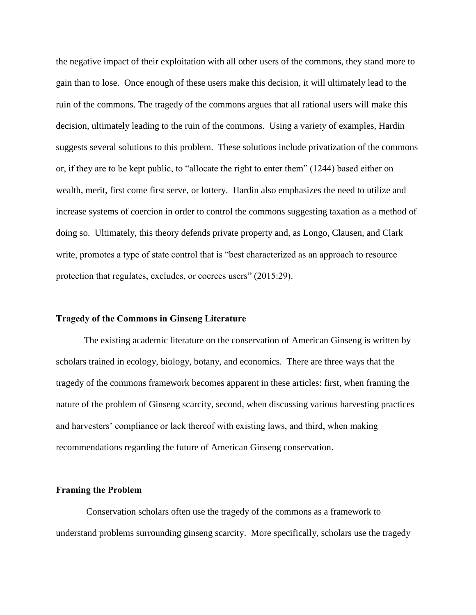the negative impact of their exploitation with all other users of the commons, they stand more to gain than to lose. Once enough of these users make this decision, it will ultimately lead to the ruin of the commons. The tragedy of the commons argues that all rational users will make this decision, ultimately leading to the ruin of the commons. Using a variety of examples, Hardin suggests several solutions to this problem. These solutions include privatization of the commons or, if they are to be kept public, to "allocate the right to enter them" (1244) based either on wealth, merit, first come first serve, or lottery. Hardin also emphasizes the need to utilize and increase systems of coercion in order to control the commons suggesting taxation as a method of doing so. Ultimately, this theory defends private property and, as Longo, Clausen, and Clark write, promotes a type of state control that is "best characterized as an approach to resource protection that regulates, excludes, or coerces users" (2015:29).

#### **Tragedy of the Commons in Ginseng Literature**

The existing academic literature on the conservation of American Ginseng is written by scholars trained in ecology, biology, botany, and economics. There are three ways that the tragedy of the commons framework becomes apparent in these articles: first, when framing the nature of the problem of Ginseng scarcity, second, when discussing various harvesting practices and harvesters' compliance or lack thereof with existing laws, and third, when making recommendations regarding the future of American Ginseng conservation.

#### **Framing the Problem**

Conservation scholars often use the tragedy of the commons as a framework to understand problems surrounding ginseng scarcity. More specifically, scholars use the tragedy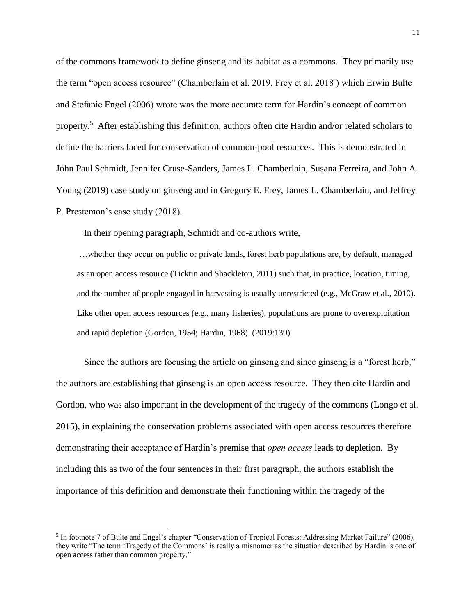of the commons framework to define ginseng and its habitat as a commons. They primarily use the term "open access resource" (Chamberlain et al. 2019, Frey et al. 2018 ) which Erwin Bulte and Stefanie Engel (2006) wrote was the more accurate term for Hardin's concept of common property.<sup>5</sup> After establishing this definition, authors often cite Hardin and/or related scholars to define the barriers faced for conservation of common-pool resources. This is demonstrated in John Paul Schmidt, Jennifer Cruse-Sanders, James L. Chamberlain, Susana Ferreira, and John A. Young (2019) case study on ginseng and in Gregory E. Frey, James L. Chamberlain, and Jeffrey P. Prestemon's case study (2018).

In their opening paragraph, Schmidt and co-authors write,

…whether they occur on public or private lands, forest herb populations are, by default, managed as an open access resource (Ticktin and Shackleton, 2011) such that, in practice, location, timing, and the number of people engaged in harvesting is usually unrestricted (e.g., McGraw et al., 2010). Like other open access resources (e.g., many fisheries), populations are prone to overexploitation and rapid depletion (Gordon, 1954; Hardin, 1968). (2019:139)

Since the authors are focusing the article on ginseng and since ginseng is a "forest herb," the authors are establishing that ginseng is an open access resource. They then cite Hardin and Gordon, who was also important in the development of the tragedy of the commons (Longo et al. 2015), in explaining the conservation problems associated with open access resources therefore demonstrating their acceptance of Hardin's premise that *open access* leads to depletion. By including this as two of the four sentences in their first paragraph, the authors establish the importance of this definition and demonstrate their functioning within the tragedy of the

 $\overline{a}$ 

<sup>&</sup>lt;sup>5</sup> In footnote 7 of Bulte and Engel's chapter "Conservation of Tropical Forests: Addressing Market Failure" (2006), they write "The term 'Tragedy of the Commons' is really a misnomer as the situation described by Hardin is one of open access rather than common property."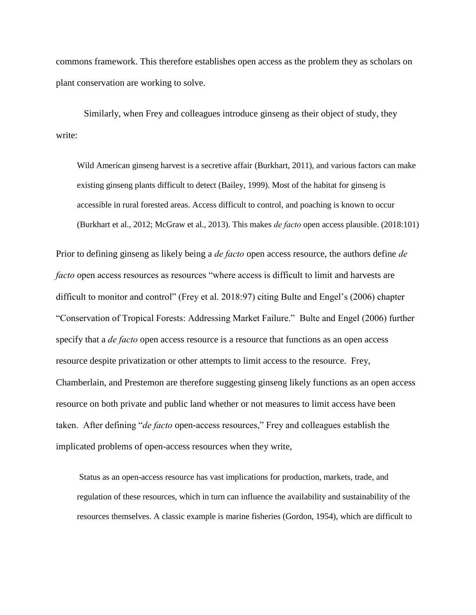commons framework. This therefore establishes open access as the problem they as scholars on plant conservation are working to solve.

Similarly, when Frey and colleagues introduce ginseng as their object of study, they write:

Wild American ginseng harvest is a secretive affair (Burkhart, 2011), and various factors can make existing ginseng plants difficult to detect (Bailey, 1999). Most of the habitat for ginseng is accessible in rural forested areas. Access difficult to control, and poaching is known to occur (Burkhart et al., 2012; McGraw et al., 2013). This makes *de facto* open access plausible. (2018:101)

Prior to defining ginseng as likely being a *de facto* open access resource, the authors define *de facto* open access resources as resources "where access is difficult to limit and harvests are difficult to monitor and control" (Frey et al. 2018:97) citing Bulte and Engel's (2006) chapter "Conservation of Tropical Forests: Addressing Market Failure." Bulte and Engel (2006) further specify that a *de facto* open access resource is a resource that functions as an open access resource despite privatization or other attempts to limit access to the resource. Frey, Chamberlain, and Prestemon are therefore suggesting ginseng likely functions as an open access resource on both private and public land whether or not measures to limit access have been taken. After defining "*de facto* open-access resources," Frey and colleagues establish the implicated problems of open-access resources when they write,

Status as an open-access resource has vast implications for production, markets, trade, and regulation of these resources, which in turn can influence the availability and sustainability of the resources themselves. A classic example is marine fisheries (Gordon, 1954), which are difficult to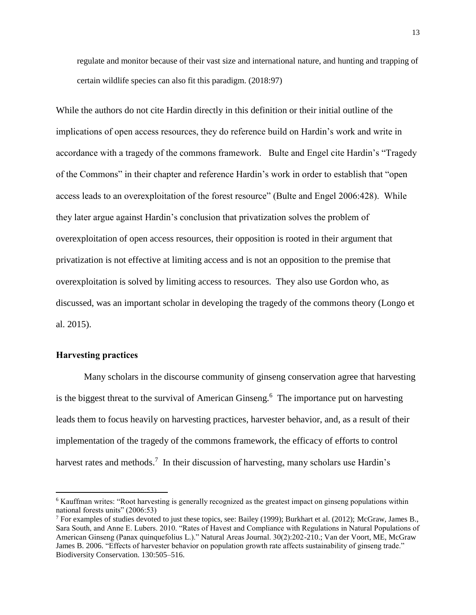regulate and monitor because of their vast size and international nature, and hunting and trapping of certain wildlife species can also fit this paradigm. (2018:97)

While the authors do not cite Hardin directly in this definition or their initial outline of the implications of open access resources, they do reference build on Hardin's work and write in accordance with a tragedy of the commons framework. Bulte and Engel cite Hardin's "Tragedy of the Commons" in their chapter and reference Hardin's work in order to establish that "open access leads to an overexploitation of the forest resource" (Bulte and Engel 2006:428). While they later argue against Hardin's conclusion that privatization solves the problem of overexploitation of open access resources, their opposition is rooted in their argument that privatization is not effective at limiting access and is not an opposition to the premise that overexploitation is solved by limiting access to resources. They also use Gordon who, as discussed, was an important scholar in developing the tragedy of the commons theory (Longo et al. 2015).

#### **Harvesting practices**

 $\overline{a}$ 

Many scholars in the discourse community of ginseng conservation agree that harvesting is the biggest threat to the survival of American Ginseng.<sup>6</sup> The importance put on harvesting leads them to focus heavily on harvesting practices, harvester behavior, and, as a result of their implementation of the tragedy of the commons framework, the efficacy of efforts to control harvest rates and methods.<sup>7</sup> In their discussion of harvesting, many scholars use Hardin's

<sup>&</sup>lt;sup>6</sup> Kauffman writes: "Root harvesting is generally recognized as the greatest impact on ginseng populations within national forests units" (2006:53)

<sup>&</sup>lt;sup>7</sup> For examples of studies devoted to just these topics, see: Bailey (1999); Burkhart et al. (2012); McGraw, James B., Sara South, and Anne E. Lubers. 2010. "Rates of Havest and Compliance with Regulations in Natural Populations of American Ginseng (Panax quinquefolius L.)." Natural Areas Journal. 30(2):202-210.; Van der Voort, ME, McGraw James B. 2006. "Effects of harvester behavior on population growth rate affects sustainability of ginseng trade." Biodiversity Conservation. 130:505–516.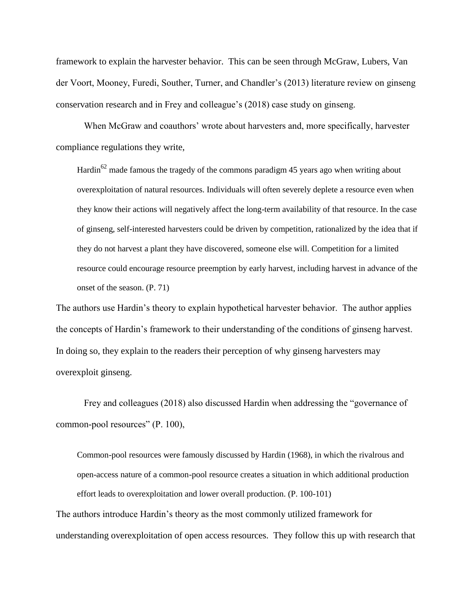framework to explain the harvester behavior. This can be seen through McGraw, Lubers, Van der Voort, Mooney, Furedi, Souther, Turner, and Chandler's (2013) literature review on ginseng conservation research and in Frey and colleague's (2018) case study on ginseng.

When McGraw and coauthors' wrote about harvesters and, more specifically, harvester compliance regulations they write,

Hardin<sup>62</sup> made famous the tragedy of the commons paradigm 45 years ago when writing about overexploitation of natural resources. Individuals will often severely deplete a resource even when they know their actions will negatively affect the long-term availability of that resource. In the case of ginseng, self-interested harvesters could be driven by competition, rationalized by the idea that if they do not harvest a plant they have discovered, someone else will. Competition for a limited resource could encourage resource preemption by early harvest, including harvest in advance of the onset of the season. (P. 71)

The authors use Hardin's theory to explain hypothetical harvester behavior. The author applies the concepts of Hardin's framework to their understanding of the conditions of ginseng harvest. In doing so, they explain to the readers their perception of why ginseng harvesters may overexploit ginseng.

Frey and colleagues (2018) also discussed Hardin when addressing the "governance of common-pool resources" (P. 100),

Common-pool resources were famously discussed by Hardin (1968), in which the rivalrous and open-access nature of a common-pool resource creates a situation in which additional production effort leads to overexploitation and lower overall production. (P. 100-101) The authors introduce Hardin's theory as the most commonly utilized framework for

understanding overexploitation of open access resources. They follow this up with research that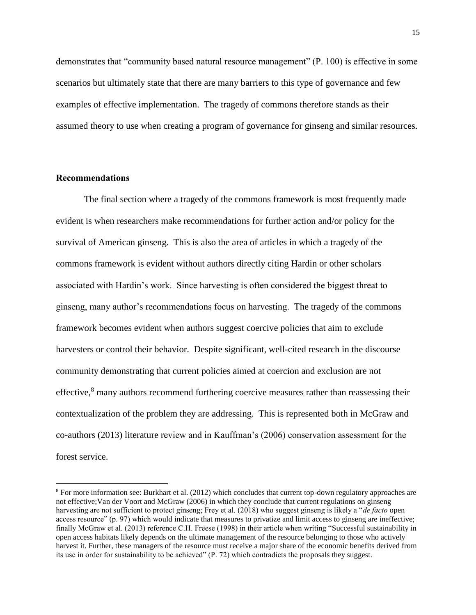demonstrates that "community based natural resource management" (P. 100) is effective in some scenarios but ultimately state that there are many barriers to this type of governance and few examples of effective implementation. The tragedy of commons therefore stands as their assumed theory to use when creating a program of governance for ginseng and similar resources.

#### **Recommendations**

 $\overline{a}$ 

The final section where a tragedy of the commons framework is most frequently made evident is when researchers make recommendations for further action and/or policy for the survival of American ginseng. This is also the area of articles in which a tragedy of the commons framework is evident without authors directly citing Hardin or other scholars associated with Hardin's work. Since harvesting is often considered the biggest threat to ginseng, many author's recommendations focus on harvesting. The tragedy of the commons framework becomes evident when authors suggest coercive policies that aim to exclude harvesters or control their behavior. Despite significant, well-cited research in the discourse community demonstrating that current policies aimed at coercion and exclusion are not effective,<sup>8</sup> many authors recommend furthering coercive measures rather than reassessing their contextualization of the problem they are addressing. This is represented both in McGraw and co-authors (2013) literature review and in Kauffman's (2006) conservation assessment for the forest service.

<sup>8</sup> For more information see: Burkhart et al. (2012) which concludes that current top-down regulatory approaches are not effective;Van der Voort and McGraw (2006) in which they conclude that current regulations on ginseng harvesting are not sufficient to protect ginseng; Frey et al. (2018) who suggest ginseng is likely a "*de facto* open access resource" (p. 97) which would indicate that measures to privatize and limit access to ginseng are ineffective; finally McGraw et al. (2013) reference C.H. Freese (1998) in their article when writing "Successful sustainability in open access habitats likely depends on the ultimate management of the resource belonging to those who actively harvest it. Further, these managers of the resource must receive a major share of the economic benefits derived from its use in order for sustainability to be achieved" (P. 72) which contradicts the proposals they suggest.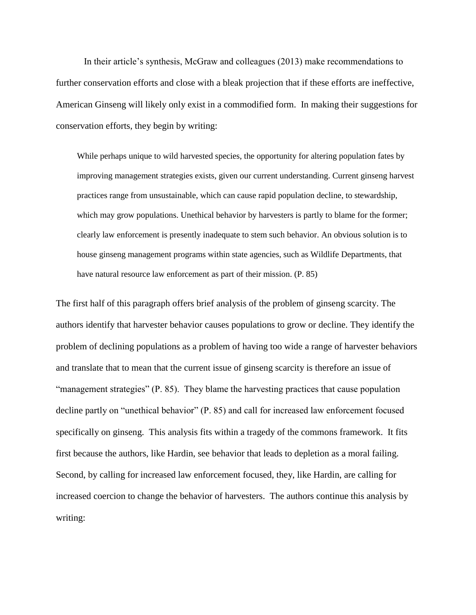In their article's synthesis, McGraw and colleagues (2013) make recommendations to further conservation efforts and close with a bleak projection that if these efforts are ineffective, American Ginseng will likely only exist in a commodified form. In making their suggestions for conservation efforts, they begin by writing:

While perhaps unique to wild harvested species, the opportunity for altering population fates by improving management strategies exists, given our current understanding. Current ginseng harvest practices range from unsustainable, which can cause rapid population decline, to stewardship, which may grow populations. Unethical behavior by harvesters is partly to blame for the former; clearly law enforcement is presently inadequate to stem such behavior. An obvious solution is to house ginseng management programs within state agencies, such as Wildlife Departments, that have natural resource law enforcement as part of their mission. (P. 85)

The first half of this paragraph offers brief analysis of the problem of ginseng scarcity. The authors identify that harvester behavior causes populations to grow or decline. They identify the problem of declining populations as a problem of having too wide a range of harvester behaviors and translate that to mean that the current issue of ginseng scarcity is therefore an issue of "management strategies" (P. 85). They blame the harvesting practices that cause population decline partly on "unethical behavior" (P. 85) and call for increased law enforcement focused specifically on ginseng. This analysis fits within a tragedy of the commons framework. It fits first because the authors, like Hardin, see behavior that leads to depletion as a moral failing. Second, by calling for increased law enforcement focused, they, like Hardin, are calling for increased coercion to change the behavior of harvesters. The authors continue this analysis by writing: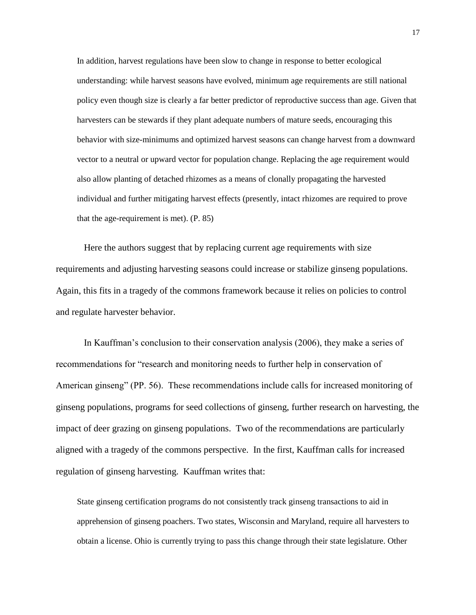In addition, harvest regulations have been slow to change in response to better ecological understanding: while harvest seasons have evolved, minimum age requirements are still national policy even though size is clearly a far better predictor of reproductive success than age. Given that harvesters can be stewards if they plant adequate numbers of mature seeds, encouraging this behavior with size-minimums and optimized harvest seasons can change harvest from a downward vector to a neutral or upward vector for population change. Replacing the age requirement would also allow planting of detached rhizomes as a means of clonally propagating the harvested individual and further mitigating harvest effects (presently, intact rhizomes are required to prove that the age-requirement is met). (P. 85)

Here the authors suggest that by replacing current age requirements with size requirements and adjusting harvesting seasons could increase or stabilize ginseng populations. Again, this fits in a tragedy of the commons framework because it relies on policies to control and regulate harvester behavior.

In Kauffman's conclusion to their conservation analysis (2006), they make a series of recommendations for "research and monitoring needs to further help in conservation of American ginseng" (PP. 56). These recommendations include calls for increased monitoring of ginseng populations, programs for seed collections of ginseng, further research on harvesting, the impact of deer grazing on ginseng populations. Two of the recommendations are particularly aligned with a tragedy of the commons perspective. In the first, Kauffman calls for increased regulation of ginseng harvesting. Kauffman writes that:

State ginseng certification programs do not consistently track ginseng transactions to aid in apprehension of ginseng poachers. Two states, Wisconsin and Maryland, require all harvesters to obtain a license. Ohio is currently trying to pass this change through their state legislature. Other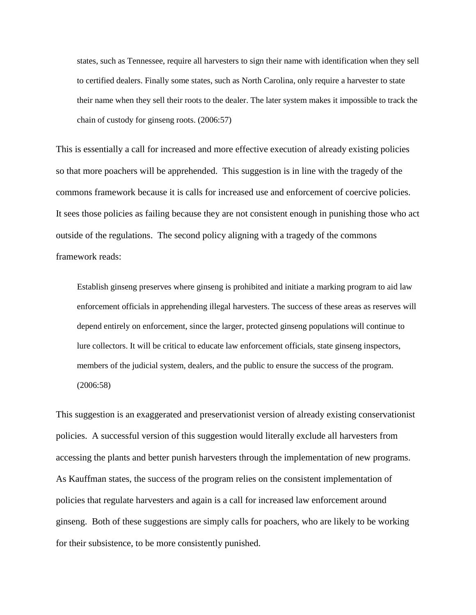states, such as Tennessee, require all harvesters to sign their name with identification when they sell to certified dealers. Finally some states, such as North Carolina, only require a harvester to state their name when they sell their roots to the dealer. The later system makes it impossible to track the chain of custody for ginseng roots. (2006:57)

This is essentially a call for increased and more effective execution of already existing policies so that more poachers will be apprehended. This suggestion is in line with the tragedy of the commons framework because it is calls for increased use and enforcement of coercive policies. It sees those policies as failing because they are not consistent enough in punishing those who act outside of the regulations. The second policy aligning with a tragedy of the commons framework reads:

Establish ginseng preserves where ginseng is prohibited and initiate a marking program to aid law enforcement officials in apprehending illegal harvesters. The success of these areas as reserves will depend entirely on enforcement, since the larger, protected ginseng populations will continue to lure collectors. It will be critical to educate law enforcement officials, state ginseng inspectors, members of the judicial system, dealers, and the public to ensure the success of the program. (2006:58)

This suggestion is an exaggerated and preservationist version of already existing conservationist policies. A successful version of this suggestion would literally exclude all harvesters from accessing the plants and better punish harvesters through the implementation of new programs. As Kauffman states, the success of the program relies on the consistent implementation of policies that regulate harvesters and again is a call for increased law enforcement around ginseng. Both of these suggestions are simply calls for poachers, who are likely to be working for their subsistence, to be more consistently punished.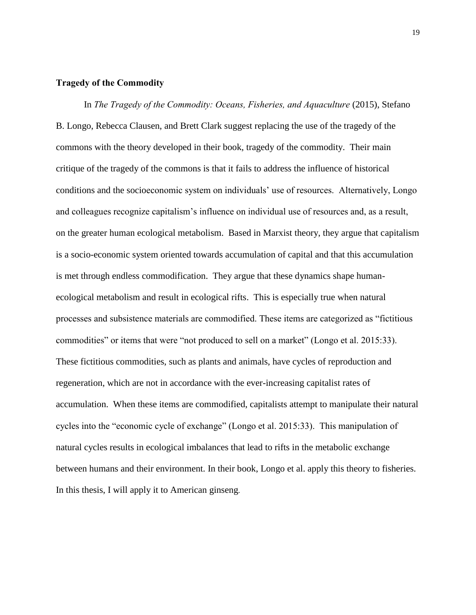#### **Tragedy of the Commodity**

In *The Tragedy of the Commodity: Oceans, Fisheries, and Aquaculture* (2015), Stefano B. Longo, Rebecca Clausen, and Brett Clark suggest replacing the use of the tragedy of the commons with the theory developed in their book, tragedy of the commodity. Their main critique of the tragedy of the commons is that it fails to address the influence of historical conditions and the socioeconomic system on individuals' use of resources. Alternatively, Longo and colleagues recognize capitalism's influence on individual use of resources and, as a result, on the greater human ecological metabolism. Based in Marxist theory, they argue that capitalism is a socio-economic system oriented towards accumulation of capital and that this accumulation is met through endless commodification. They argue that these dynamics shape humanecological metabolism and result in ecological rifts. This is especially true when natural processes and subsistence materials are commodified. These items are categorized as "fictitious commodities" or items that were "not produced to sell on a market" (Longo et al. 2015:33). These fictitious commodities, such as plants and animals, have cycles of reproduction and regeneration, which are not in accordance with the ever-increasing capitalist rates of accumulation. When these items are commodified, capitalists attempt to manipulate their natural cycles into the "economic cycle of exchange" (Longo et al. 2015:33). This manipulation of natural cycles results in ecological imbalances that lead to rifts in the metabolic exchange between humans and their environment. In their book, Longo et al. apply this theory to fisheries. In this thesis, I will apply it to American ginseng*.*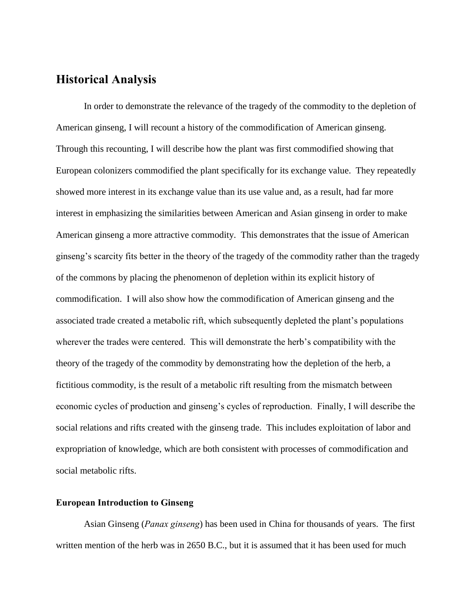### **Historical Analysis**

In order to demonstrate the relevance of the tragedy of the commodity to the depletion of American ginseng, I will recount a history of the commodification of American ginseng. Through this recounting, I will describe how the plant was first commodified showing that European colonizers commodified the plant specifically for its exchange value. They repeatedly showed more interest in its exchange value than its use value and, as a result, had far more interest in emphasizing the similarities between American and Asian ginseng in order to make American ginseng a more attractive commodity. This demonstrates that the issue of American ginseng's scarcity fits better in the theory of the tragedy of the commodity rather than the tragedy of the commons by placing the phenomenon of depletion within its explicit history of commodification. I will also show how the commodification of American ginseng and the associated trade created a metabolic rift, which subsequently depleted the plant's populations wherever the trades were centered. This will demonstrate the herb's compatibility with the theory of the tragedy of the commodity by demonstrating how the depletion of the herb, a fictitious commodity, is the result of a metabolic rift resulting from the mismatch between economic cycles of production and ginseng's cycles of reproduction. Finally, I will describe the social relations and rifts created with the ginseng trade. This includes exploitation of labor and expropriation of knowledge, which are both consistent with processes of commodification and social metabolic rifts.

#### **European Introduction to Ginseng**

Asian Ginseng (*Panax ginseng*) has been used in China for thousands of years. The first written mention of the herb was in 2650 B.C., but it is assumed that it has been used for much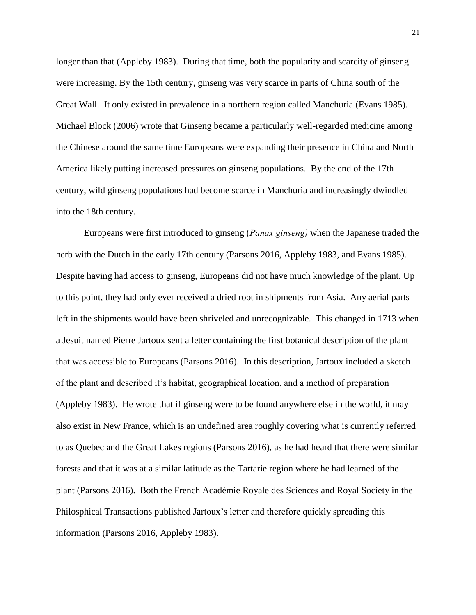longer than that (Appleby 1983). During that time, both the popularity and scarcity of ginseng were increasing. By the 15th century, ginseng was very scarce in parts of China south of the Great Wall. It only existed in prevalence in a northern region called Manchuria (Evans 1985). Michael Block (2006) wrote that Ginseng became a particularly well-regarded medicine among the Chinese around the same time Europeans were expanding their presence in China and North America likely putting increased pressures on ginseng populations. By the end of the 17th century, wild ginseng populations had become scarce in Manchuria and increasingly dwindled into the 18th century.

Europeans were first introduced to ginseng (*Panax ginseng)* when the Japanese traded the herb with the Dutch in the early 17th century (Parsons 2016, Appleby 1983, and Evans 1985). Despite having had access to ginseng, Europeans did not have much knowledge of the plant. Up to this point, they had only ever received a dried root in shipments from Asia. Any aerial parts left in the shipments would have been shriveled and unrecognizable. This changed in 1713 when a Jesuit named Pierre Jartoux sent a letter containing the first botanical description of the plant that was accessible to Europeans (Parsons 2016). In this description, Jartoux included a sketch of the plant and described it's habitat, geographical location, and a method of preparation (Appleby 1983). He wrote that if ginseng were to be found anywhere else in the world, it may also exist in New France, which is an undefined area roughly covering what is currently referred to as Quebec and the Great Lakes regions (Parsons 2016), as he had heard that there were similar forests and that it was at a similar latitude as the Tartarie region where he had learned of the plant (Parsons 2016). Both the French Académie Royale des Sciences and Royal Society in the Philosphical Transactions published Jartoux's letter and therefore quickly spreading this information (Parsons 2016, Appleby 1983).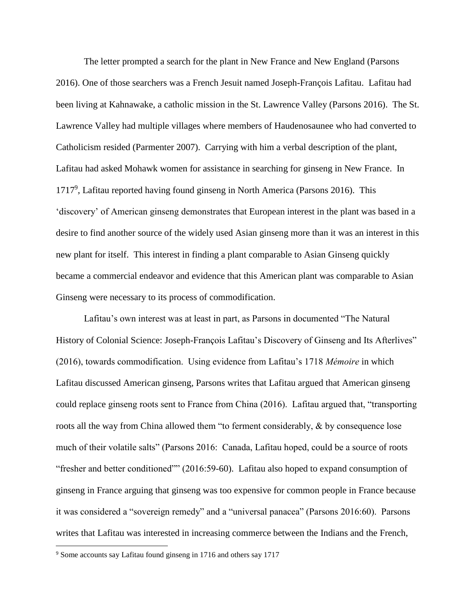The letter prompted a search for the plant in New France and New England (Parsons 2016). One of those searchers was a French Jesuit named Joseph-François Lafitau. Lafitau had been living at Kahnawake, a catholic mission in the St. Lawrence Valley (Parsons 2016). The St. Lawrence Valley had multiple villages where members of Haudenosaunee who had converted to Catholicism resided (Parmenter 2007). Carrying with him a verbal description of the plant, Lafitau had asked Mohawk women for assistance in searching for ginseng in New France. In 1717<sup>9</sup>, Lafitau reported having found ginseng in North America (Parsons 2016). This 'discovery' of American ginseng demonstrates that European interest in the plant was based in a desire to find another source of the widely used Asian ginseng more than it was an interest in this new plant for itself. This interest in finding a plant comparable to Asian Ginseng quickly became a commercial endeavor and evidence that this American plant was comparable to Asian Ginseng were necessary to its process of commodification.

Lafitau's own interest was at least in part, as Parsons in documented "The Natural History of Colonial Science: Joseph-François Lafitau's Discovery of Ginseng and Its Afterlives" (2016), towards commodification. Using evidence from Lafitau's 1718 *Mémoire* in which Lafitau discussed American ginseng, Parsons writes that Lafitau argued that American ginseng could replace ginseng roots sent to France from China (2016). Lafitau argued that, "transporting roots all the way from China allowed them "to ferment considerably, & by consequence lose much of their volatile salts" (Parsons 2016: Canada, Lafitau hoped, could be a source of roots "fresher and better conditioned"" (2016:59-60). Lafitau also hoped to expand consumption of ginseng in France arguing that ginseng was too expensive for common people in France because it was considered a "sovereign remedy" and a "universal panacea" (Parsons 2016:60). Parsons writes that Lafitau was interested in increasing commerce between the Indians and the French,

 $\overline{a}$ 

<sup>9</sup> Some accounts say Lafitau found ginseng in 1716 and others say 1717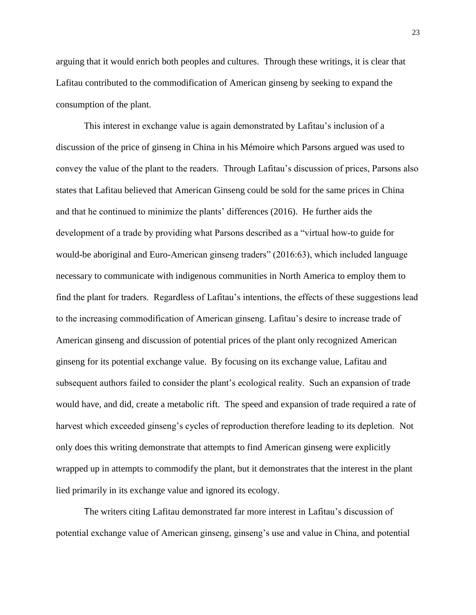arguing that it would enrich both peoples and cultures. Through these writings, it is clear that Lafitau contributed to the commodification of American ginseng by seeking to expand the consumption of the plant.

This interest in exchange value is again demonstrated by Lafitau's inclusion of a discussion of the price of ginseng in China in his Mémoire which Parsons argued was used to convey the value of the plant to the readers. Through Lafitau's discussion of prices, Parsons also states that Lafitau believed that American Ginseng could be sold for the same prices in China and that he continued to minimize the plants' differences (2016). He further aids the development of a trade by providing what Parsons described as a "virtual how-to guide for would-be aboriginal and Euro-American ginseng traders" (2016:63), which included language necessary to communicate with indigenous communities in North America to employ them to find the plant for traders. Regardless of Lafitau's intentions, the effects of these suggestions lead to the increasing commodification of American ginseng. Lafitau's desire to increase trade of American ginseng and discussion of potential prices of the plant only recognized American ginseng for its potential exchange value. By focusing on its exchange value, Lafitau and subsequent authors failed to consider the plant's ecological reality. Such an expansion of trade would have, and did, create a metabolic rift. The speed and expansion of trade required a rate of harvest which exceeded ginseng's cycles of reproduction therefore leading to its depletion. Not only does this writing demonstrate that attempts to find American ginseng were explicitly wrapped up in attempts to commodify the plant, but it demonstrates that the interest in the plant lied primarily in its exchange value and ignored its ecology.

The writers citing Lafitau demonstrated far more interest in Lafitau's discussion of potential exchange value of American ginseng, ginseng's use and value in China, and potential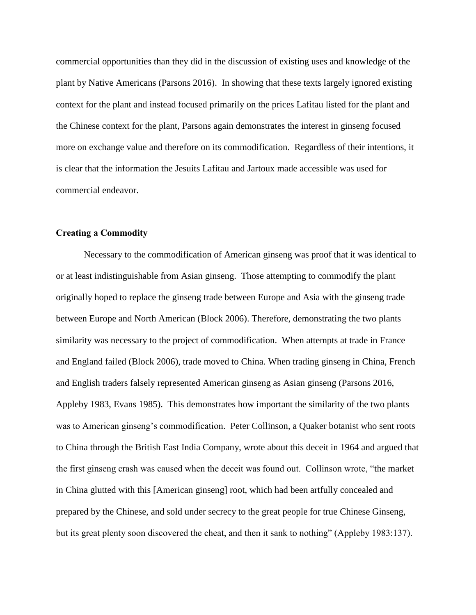commercial opportunities than they did in the discussion of existing uses and knowledge of the plant by Native Americans (Parsons 2016). In showing that these texts largely ignored existing context for the plant and instead focused primarily on the prices Lafitau listed for the plant and the Chinese context for the plant, Parsons again demonstrates the interest in ginseng focused more on exchange value and therefore on its commodification. Regardless of their intentions, it is clear that the information the Jesuits Lafitau and Jartoux made accessible was used for commercial endeavor.

#### **Creating a Commodity**

Necessary to the commodification of American ginseng was proof that it was identical to or at least indistinguishable from Asian ginseng. Those attempting to commodify the plant originally hoped to replace the ginseng trade between Europe and Asia with the ginseng trade between Europe and North American (Block 2006). Therefore, demonstrating the two plants similarity was necessary to the project of commodification. When attempts at trade in France and England failed (Block 2006), trade moved to China. When trading ginseng in China, French and English traders falsely represented American ginseng as Asian ginseng (Parsons 2016, Appleby 1983, Evans 1985). This demonstrates how important the similarity of the two plants was to American ginseng's commodification. Peter Collinson, a Quaker botanist who sent roots to China through the British East India Company, wrote about this deceit in 1964 and argued that the first ginseng crash was caused when the deceit was found out. Collinson wrote, "the market in China glutted with this [American ginseng] root, which had been artfully concealed and prepared by the Chinese, and sold under secrecy to the great people for true Chinese Ginseng, but its great plenty soon discovered the cheat, and then it sank to nothing" (Appleby 1983:137).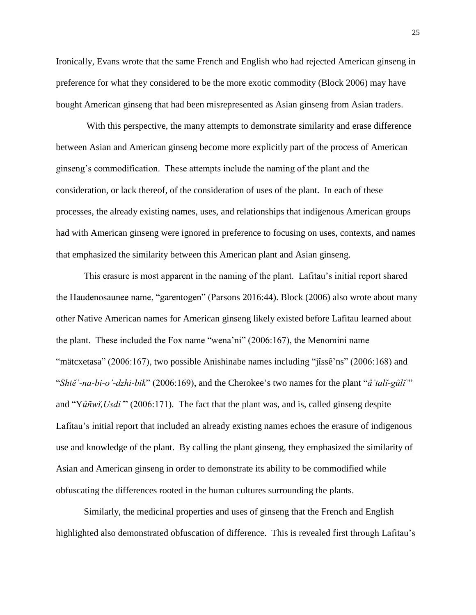Ironically, Evans wrote that the same French and English who had rejected American ginseng in preference for what they considered to be the more exotic commodity (Block 2006) may have bought American ginseng that had been misrepresented as Asian ginseng from Asian traders.

With this perspective, the many attempts to demonstrate similarity and erase difference between Asian and American ginseng become more explicitly part of the process of American ginseng's commodification. These attempts include the naming of the plant and the consideration, or lack thereof, of the consideration of uses of the plant. In each of these processes, the already existing names, uses, and relationships that indigenous American groups had with American ginseng were ignored in preference to focusing on uses, contexts, and names that emphasized the similarity between this American plant and Asian ginseng.

This erasure is most apparent in the naming of the plant. Lafitau's initial report shared the Haudenosaunee name, "garentogen" (Parsons 2016:44). Block (2006) also wrote about many other Native American names for American ginseng likely existed before Lafitau learned about the plant. These included the Fox name "wena'ni" (2006:167), the Menomini name "mätcxetasa" (2006:167), two possible Anishinabe names including "jîssê'ns" (2006:168) and "*Shtĕ'-na-bi-o'-dzhi-bik*" (2006:169), and the Cherokee's two names for the plant "*â'talĭ-gûlĭ'*" and "Y*ûñwĭ,Usdi'*" (2006:171). The fact that the plant was, and is, called ginseng despite Lafitau's initial report that included an already existing names echoes the erasure of indigenous use and knowledge of the plant. By calling the plant ginseng, they emphasized the similarity of Asian and American ginseng in order to demonstrate its ability to be commodified while obfuscating the differences rooted in the human cultures surrounding the plants.

Similarly, the medicinal properties and uses of ginseng that the French and English highlighted also demonstrated obfuscation of difference. This is revealed first through Lafitau's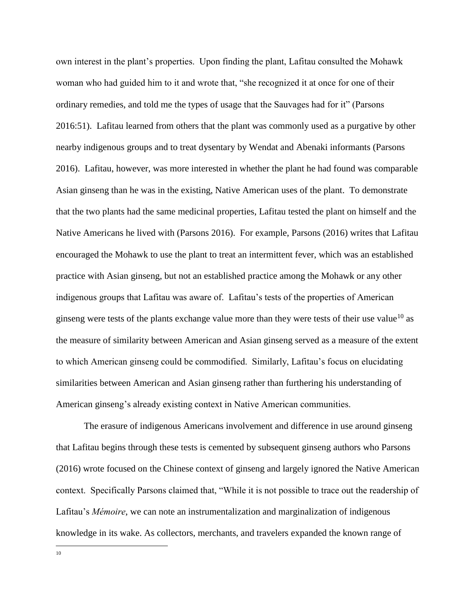own interest in the plant's properties. Upon finding the plant, Lafitau consulted the Mohawk woman who had guided him to it and wrote that, "she recognized it at once for one of their ordinary remedies, and told me the types of usage that the Sauvages had for it" (Parsons 2016:51). Lafitau learned from others that the plant was commonly used as a purgative by other nearby indigenous groups and to treat dysentary by Wendat and Abenaki informants (Parsons 2016). Lafitau, however, was more interested in whether the plant he had found was comparable Asian ginseng than he was in the existing, Native American uses of the plant. To demonstrate that the two plants had the same medicinal properties, Lafitau tested the plant on himself and the Native Americans he lived with (Parsons 2016). For example, Parsons (2016) writes that Lafitau encouraged the Mohawk to use the plant to treat an intermittent fever, which was an established practice with Asian ginseng, but not an established practice among the Mohawk or any other indigenous groups that Lafitau was aware of. Lafitau's tests of the properties of American ginseng were tests of the plants exchange value more than they were tests of their use value<sup>10</sup> as the measure of similarity between American and Asian ginseng served as a measure of the extent to which American ginseng could be commodified. Similarly, Lafitau's focus on elucidating similarities between American and Asian ginseng rather than furthering his understanding of American ginseng's already existing context in Native American communities.

The erasure of indigenous Americans involvement and difference in use around ginseng that Lafitau begins through these tests is cemented by subsequent ginseng authors who Parsons (2016) wrote focused on the Chinese context of ginseng and largely ignored the Native American context. Specifically Parsons claimed that, "While it is not possible to trace out the readership of Lafitau's *Mémoire*, we can note an instrumentalization and marginalization of indigenous knowledge in its wake. As collectors, merchants, and travelers expanded the known range of

 $\overline{a}$ 10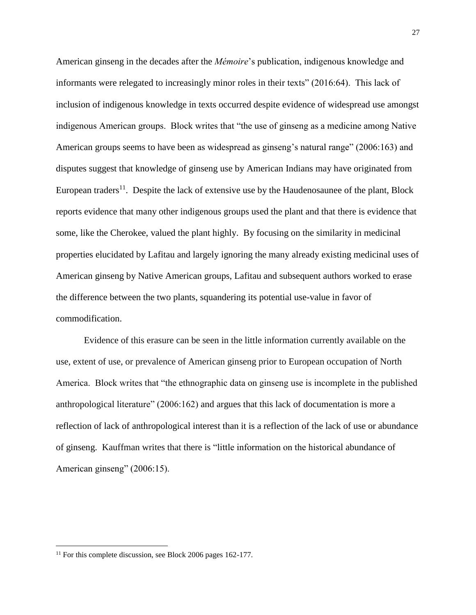American ginseng in the decades after the *Mémoire*'s publication, indigenous knowledge and informants were relegated to increasingly minor roles in their texts" (2016:64). This lack of inclusion of indigenous knowledge in texts occurred despite evidence of widespread use amongst indigenous American groups. Block writes that "the use of ginseng as a medicine among Native American groups seems to have been as widespread as ginseng's natural range" (2006:163) and disputes suggest that knowledge of ginseng use by American Indians may have originated from European traders<sup>11</sup>. Despite the lack of extensive use by the Haudenosaunee of the plant, Block reports evidence that many other indigenous groups used the plant and that there is evidence that some, like the Cherokee, valued the plant highly. By focusing on the similarity in medicinal properties elucidated by Lafitau and largely ignoring the many already existing medicinal uses of American ginseng by Native American groups, Lafitau and subsequent authors worked to erase the difference between the two plants, squandering its potential use-value in favor of commodification.

Evidence of this erasure can be seen in the little information currently available on the use, extent of use, or prevalence of American ginseng prior to European occupation of North America. Block writes that "the ethnographic data on ginseng use is incomplete in the published anthropological literature" (2006:162) and argues that this lack of documentation is more a reflection of lack of anthropological interest than it is a reflection of the lack of use or abundance of ginseng. Kauffman writes that there is "little information on the historical abundance of American ginseng" (2006:15).

 $\overline{a}$ 

<sup>27</sup>

<sup>&</sup>lt;sup>11</sup> For this complete discussion, see Block 2006 pages 162-177.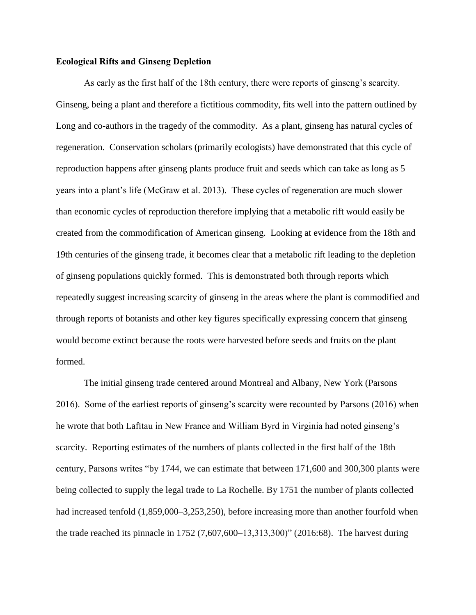#### **Ecological Rifts and Ginseng Depletion**

As early as the first half of the 18th century, there were reports of ginseng's scarcity. Ginseng, being a plant and therefore a fictitious commodity, fits well into the pattern outlined by Long and co-authors in the tragedy of the commodity. As a plant, ginseng has natural cycles of regeneration. Conservation scholars (primarily ecologists) have demonstrated that this cycle of reproduction happens after ginseng plants produce fruit and seeds which can take as long as 5 years into a plant's life (McGraw et al. 2013). These cycles of regeneration are much slower than economic cycles of reproduction therefore implying that a metabolic rift would easily be created from the commodification of American ginseng. Looking at evidence from the 18th and 19th centuries of the ginseng trade, it becomes clear that a metabolic rift leading to the depletion of ginseng populations quickly formed. This is demonstrated both through reports which repeatedly suggest increasing scarcity of ginseng in the areas where the plant is commodified and through reports of botanists and other key figures specifically expressing concern that ginseng would become extinct because the roots were harvested before seeds and fruits on the plant formed.

The initial ginseng trade centered around Montreal and Albany, New York (Parsons 2016). Some of the earliest reports of ginseng's scarcity were recounted by Parsons (2016) when he wrote that both Lafitau in New France and William Byrd in Virginia had noted ginseng's scarcity. Reporting estimates of the numbers of plants collected in the first half of the 18th century, Parsons writes "by 1744, we can estimate that between 171,600 and 300,300 plants were being collected to supply the legal trade to La Rochelle. By 1751 the number of plants collected had increased tenfold  $(1,859,000-3,253,250)$ , before increasing more than another fourfold when the trade reached its pinnacle in 1752 (7,607,600–13,313,300)" (2016:68). The harvest during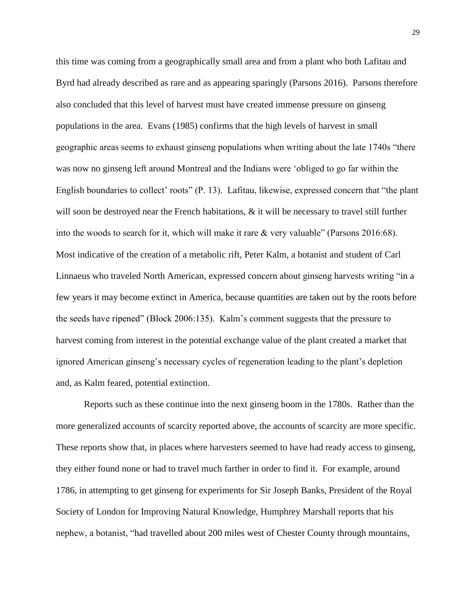this time was coming from a geographically small area and from a plant who both Lafitau and Byrd had already described as rare and as appearing sparingly (Parsons 2016). Parsons therefore also concluded that this level of harvest must have created immense pressure on ginseng populations in the area. Evans (1985) confirms that the high levels of harvest in small geographic areas seems to exhaust ginseng populations when writing about the late 1740s "there was now no ginseng left around Montreal and the Indians were 'obliged to go far within the English boundaries to collect' roots" (P. 13). Lafitau, likewise, expressed concern that "the plant will soon be destroyed near the French habitations, & it will be necessary to travel still further into the woods to search for it, which will make it rare & very valuable" (Parsons 2016:68). Most indicative of the creation of a metabolic rift, Peter Kalm, a botanist and student of Carl Linnaeus who traveled North American, expressed concern about ginseng harvests writing "in a few years it may become extinct in America, because quantities are taken out by the roots before the seeds have ripened" (Block 2006:135). Kalm's comment suggests that the pressure to harvest coming from interest in the potential exchange value of the plant created a market that ignored American ginseng's necessary cycles of regeneration leading to the plant's depletion and, as Kalm feared, potential extinction.

Reports such as these continue into the next ginseng boom in the 1780s. Rather than the more generalized accounts of scarcity reported above, the accounts of scarcity are more specific. These reports show that, in places where harvesters seemed to have had ready access to ginseng, they either found none or had to travel much farther in order to find it. For example, around 1786, in attempting to get ginseng for experiments for Sir Joseph Banks, President of the Royal Society of London for Improving Natural Knowledge, Humphrey Marshall reports that his nephew, a botanist, "had travelled about 200 miles west of Chester County through mountains,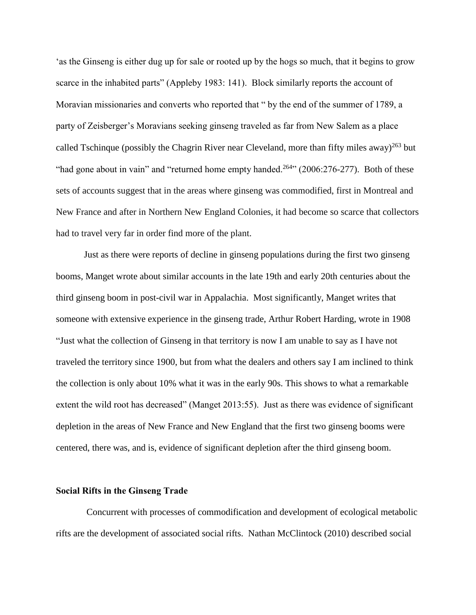'as the Ginseng is either dug up for sale or rooted up by the hogs so much, that it begins to grow scarce in the inhabited parts" (Appleby 1983: 141). Block similarly reports the account of Moravian missionaries and converts who reported that " by the end of the summer of 1789, a party of Zeisberger's Moravians seeking ginseng traveled as far from New Salem as a place called Tschinque (possibly the Chagrin River near Cleveland, more than fifty miles away)<sup>263</sup> but "had gone about in vain" and "returned home empty handed.<sup>264</sup>" (2006:276-277). Both of these sets of accounts suggest that in the areas where ginseng was commodified, first in Montreal and New France and after in Northern New England Colonies, it had become so scarce that collectors had to travel very far in order find more of the plant.

Just as there were reports of decline in ginseng populations during the first two ginseng booms, Manget wrote about similar accounts in the late 19th and early 20th centuries about the third ginseng boom in post-civil war in Appalachia. Most significantly, Manget writes that someone with extensive experience in the ginseng trade, Arthur Robert Harding, wrote in 1908 "Just what the collection of Ginseng in that territory is now I am unable to say as I have not traveled the territory since 1900, but from what the dealers and others say I am inclined to think the collection is only about 10% what it was in the early 90s. This shows to what a remarkable extent the wild root has decreased" (Manget 2013:55). Just as there was evidence of significant depletion in the areas of New France and New England that the first two ginseng booms were centered, there was, and is, evidence of significant depletion after the third ginseng boom.

#### **Social Rifts in the Ginseng Trade**

Concurrent with processes of commodification and development of ecological metabolic rifts are the development of associated social rifts. Nathan McClintock (2010) described social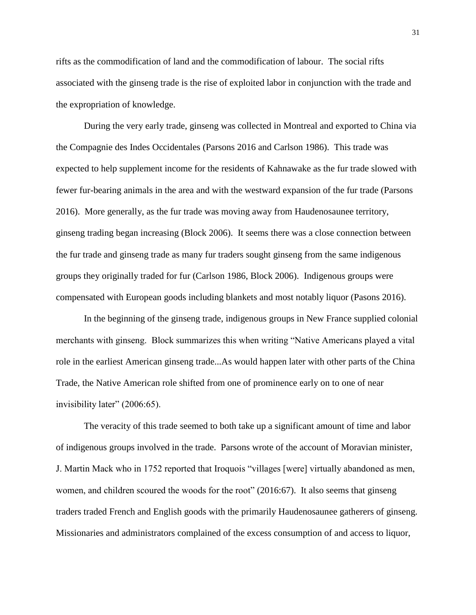rifts as the commodification of land and the commodification of labour. The social rifts associated with the ginseng trade is the rise of exploited labor in conjunction with the trade and the expropriation of knowledge.

During the very early trade, ginseng was collected in Montreal and exported to China via the Compagnie des Indes Occidentales (Parsons 2016 and Carlson 1986). This trade was expected to help supplement income for the residents of Kahnawake as the fur trade slowed with fewer fur-bearing animals in the area and with the westward expansion of the fur trade (Parsons 2016). More generally, as the fur trade was moving away from Haudenosaunee territory, ginseng trading began increasing (Block 2006). It seems there was a close connection between the fur trade and ginseng trade as many fur traders sought ginseng from the same indigenous groups they originally traded for fur (Carlson 1986, Block 2006). Indigenous groups were compensated with European goods including blankets and most notably liquor (Pasons 2016).

In the beginning of the ginseng trade, indigenous groups in New France supplied colonial merchants with ginseng. Block summarizes this when writing "Native Americans played a vital role in the earliest American ginseng trade...As would happen later with other parts of the China Trade, the Native American role shifted from one of prominence early on to one of near invisibility later" (2006:65).

The veracity of this trade seemed to both take up a significant amount of time and labor of indigenous groups involved in the trade. Parsons wrote of the account of Moravian minister, J. Martin Mack who in 1752 reported that Iroquois "villages [were] virtually abandoned as men, women, and children scoured the woods for the root" (2016:67). It also seems that ginseng traders traded French and English goods with the primarily Haudenosaunee gatherers of ginseng. Missionaries and administrators complained of the excess consumption of and access to liquor,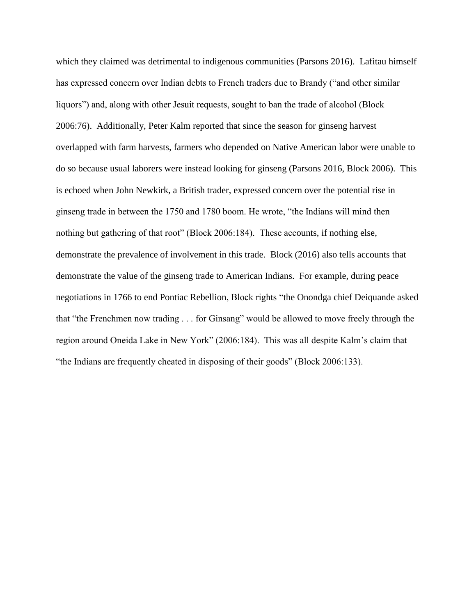which they claimed was detrimental to indigenous communities (Parsons 2016). Lafitau himself has expressed concern over Indian debts to French traders due to Brandy ("and other similar liquors") and, along with other Jesuit requests, sought to ban the trade of alcohol (Block 2006:76). Additionally, Peter Kalm reported that since the season for ginseng harvest overlapped with farm harvests, farmers who depended on Native American labor were unable to do so because usual laborers were instead looking for ginseng (Parsons 2016, Block 2006). This is echoed when John Newkirk, a British trader, expressed concern over the potential rise in ginseng trade in between the 1750 and 1780 boom. He wrote, "the Indians will mind then nothing but gathering of that root" (Block 2006:184). These accounts, if nothing else, demonstrate the prevalence of involvement in this trade. Block (2016) also tells accounts that demonstrate the value of the ginseng trade to American Indians. For example, during peace negotiations in 1766 to end Pontiac Rebellion, Block rights "the Onondga chief Deiquande asked that "the Frenchmen now trading . . . for Ginsang" would be allowed to move freely through the region around Oneida Lake in New York" (2006:184). This was all despite Kalm's claim that "the Indians are frequently cheated in disposing of their goods" (Block 2006:133).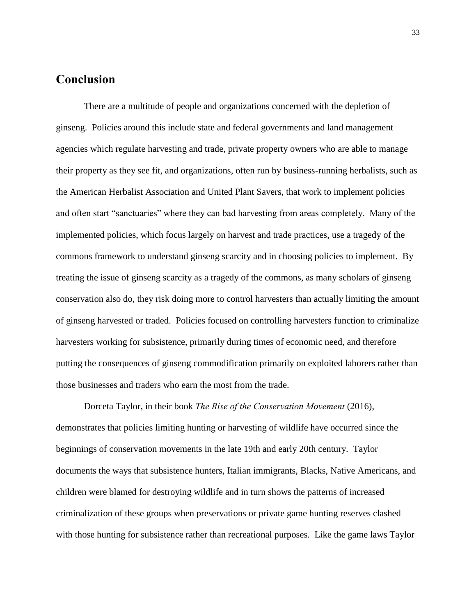# **Conclusion**

There are a multitude of people and organizations concerned with the depletion of ginseng. Policies around this include state and federal governments and land management agencies which regulate harvesting and trade, private property owners who are able to manage their property as they see fit, and organizations, often run by business-running herbalists, such as the American Herbalist Association and United Plant Savers, that work to implement policies and often start "sanctuaries" where they can bad harvesting from areas completely. Many of the implemented policies, which focus largely on harvest and trade practices, use a tragedy of the commons framework to understand ginseng scarcity and in choosing policies to implement. By treating the issue of ginseng scarcity as a tragedy of the commons, as many scholars of ginseng conservation also do, they risk doing more to control harvesters than actually limiting the amount of ginseng harvested or traded. Policies focused on controlling harvesters function to criminalize harvesters working for subsistence, primarily during times of economic need, and therefore putting the consequences of ginseng commodification primarily on exploited laborers rather than those businesses and traders who earn the most from the trade.

Dorceta Taylor, in their book *The Rise of the Conservation Movement* (2016), demonstrates that policies limiting hunting or harvesting of wildlife have occurred since the beginnings of conservation movements in the late 19th and early 20th century. Taylor documents the ways that subsistence hunters, Italian immigrants, Blacks, Native Americans, and children were blamed for destroying wildlife and in turn shows the patterns of increased criminalization of these groups when preservations or private game hunting reserves clashed with those hunting for subsistence rather than recreational purposes. Like the game laws Taylor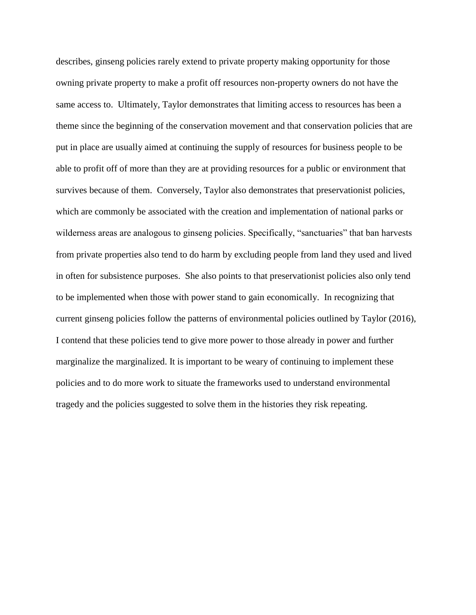describes, ginseng policies rarely extend to private property making opportunity for those owning private property to make a profit off resources non-property owners do not have the same access to. Ultimately, Taylor demonstrates that limiting access to resources has been a theme since the beginning of the conservation movement and that conservation policies that are put in place are usually aimed at continuing the supply of resources for business people to be able to profit off of more than they are at providing resources for a public or environment that survives because of them. Conversely, Taylor also demonstrates that preservationist policies, which are commonly be associated with the creation and implementation of national parks or wilderness areas are analogous to ginseng policies. Specifically, "sanctuaries" that ban harvests from private properties also tend to do harm by excluding people from land they used and lived in often for subsistence purposes. She also points to that preservationist policies also only tend to be implemented when those with power stand to gain economically. In recognizing that current ginseng policies follow the patterns of environmental policies outlined by Taylor (2016), I contend that these policies tend to give more power to those already in power and further marginalize the marginalized. It is important to be weary of continuing to implement these policies and to do more work to situate the frameworks used to understand environmental tragedy and the policies suggested to solve them in the histories they risk repeating.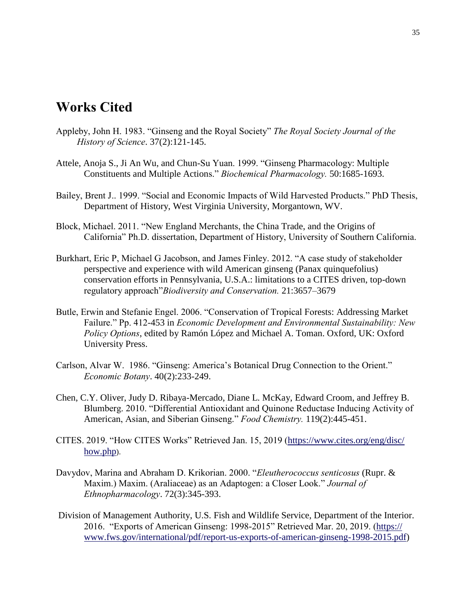# **Works Cited**

- Appleby, John H. 1983. "Ginseng and the Royal Society" *The Royal Society Journal of the History of Science*. 37(2):121-145.
- Attele, Anoja S., Ji An Wu, and Chun-Su Yuan. 1999. "Ginseng Pharmacology: Multiple Constituents and Multiple Actions." *Biochemical Pharmacology.* 50:1685-1693.
- Bailey, Brent J.. 1999. "Social and Economic Impacts of Wild Harvested Products." PhD Thesis, Department of History, West Virginia University, Morgantown, WV.
- Block, Michael. 2011. "New England Merchants, the China Trade, and the Origins of California" Ph.D. dissertation, Department of History, University of Southern California.
- Burkhart, Eric P, Michael G Jacobson, and James Finley. 2012. "A case study of stakeholder perspective and experience with wild American ginseng (Panax quinquefolius) conservation efforts in Pennsylvania, U.S.A.: limitations to a CITES driven, top-down regulatory approach"*Biodiversity and Conservation.* 21:3657–3679
- Butle, Erwin and Stefanie Engel. 2006. "Conservation of Tropical Forests: Addressing Market Failure." Pp. 412-453 in *Economic Development and Environmental Sustainability: New Policy Options*, edited by Ramón López and Michael A. Toman. Oxford, UK: Oxford University Press.
- Carlson, Alvar W. 1986. "Ginseng: America's Botanical Drug Connection to the Orient." *Economic Botany*. 40(2):233-249.
- Chen, C.Y. Oliver, Judy D. Ribaya-Mercado, Diane L. McKay, Edward Croom, and Jeffrey B. Blumberg. 2010. "Differential Antioxidant and Quinone Reductase Inducing Activity of American, Asian, and Siberian Ginseng." *Food Chemistry.* 119(2):445-451.
- CITES. 2019. "How CITES Works" Retrieved Jan. 15, 2019 [\(https://www.cites.org/eng/disc/](https://www.cites.org/eng/disc/how.php) [how.php](https://www.cites.org/eng/disc/how.php)).
- Davydov, Marina and Abraham D. Krikorian. 2000. "*Eleutherococcus senticosus* (Rupr. & Maxim.) Maxim. (Araliaceae) as an Adaptogen: a Closer Look." *Journal of Ethnopharmacology*. 72(3):345-393.
- Division of Management Authority, U.S. Fish and Wildlife Service, Department of the Interior. 2016. "Exports of American Ginseng: 1998-2015" Retrieved Mar. 20, 2019. [\(https://](https://www.fws.gov/international/pdf/report-us-exports-of-american-ginseng-1998-2015.pdf) [www.fws.gov/international/pdf/report-us-exports-of-american-ginseng-1998-2015.pdf\)](https://www.fws.gov/international/pdf/report-us-exports-of-american-ginseng-1998-2015.pdf)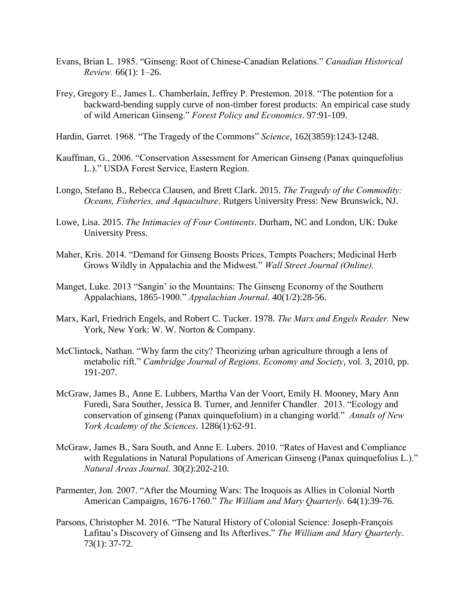- Evans, Brian L. 1985. "Ginseng: Root of Chinese-Canadian Relations." *Canadian Historical Review.* 66(1): 1–26.
- Frey, Gregory E., James L. Chamberlain, Jeffrey P. Prestemon. 2018. "The potention for a backward-bending supply curve of non-timber forest products: An empirical case study of wild American Ginseng." *Forest Policy and Economics*. 97:91-109.
- Hardin, Garret. 1968. "The Tragedy of the Commons" *Science*, 162(3859):1243-1248.
- Kauffman, G., 2006. "Conservation Assessment for American Ginseng (Panax quinquefolius L.)." USDA Forest Service, Eastern Region.
- Longo, Stefano B., Rebecca Clausen, and Brett Clark. 2015. *The Tragedy of the Commodity: Oceans, Fisheries, and Aquaculture*. Rutgers University Press: New Brunswick, NJ.
- Lowe, Lisa. 2015. *The Intimacies of Four Continents*. Durham, NC and London, UK: Duke University Press.
- Maher, Kris. 2014. "Demand for Ginseng Boosts Prices, Tempts Poachers; Medicinal Herb Grows Wildly in Appalachia and the Midwest." *Wall Street Journal (Online).*
- Manget, Luke. 2013 "Sangin' io the Mountains: The Ginseng Economy of the Southern Appalachians, 1865-1900." *Appalachian Journal*. 40(1/2):28-56.
- Marx, Karl, Friedrich Engels, and Robert C. Tucker. 1978. *The Marx and Engels Reader.* New York, New York: W. W. Norton & Company.
- McClintock, Nathan. "Why farm the city? Theorizing urban agriculture through a lens of metabolic rift." *Cambridge Journal of Regions, Economy and Society*, vol. 3, 2010, pp. 191-207.
- McGraw, James B., Anne E. Lubbers, Martha Van der Voort, Emily H. Mooney, Mary Ann Furedi, Sara Souther, Jessica B. Turner, and Jennifer Chandler. 2013. "Ecology and conservation of ginseng (Panax quinquefolium) in a changing world." *Annals of New York Academy of the Sciences*. 1286(1):62-91.
- McGraw, James B., Sara South, and Anne E. Lubers. 2010. "Rates of Havest and Compliance with Regulations in Natural Populations of American Ginseng (Panax quinquefolius L.)." *Natural Areas Journal.* 30(2):202-210.
- Parmenter, Jon. 2007. "After the Mourning Wars: The Iroquois as Allies in Colonial North American Campaigns, 1676-1760." *The William and Mary Quarterly.* 64(1):39-76.
- Parsons, Christopher M. 2016. "The Natural History of Colonial Science: Joseph-François Lafitau's Discovery of Ginseng and Its Afterlives." *The William and Mary Quarterly*. 73(1): 37-72.